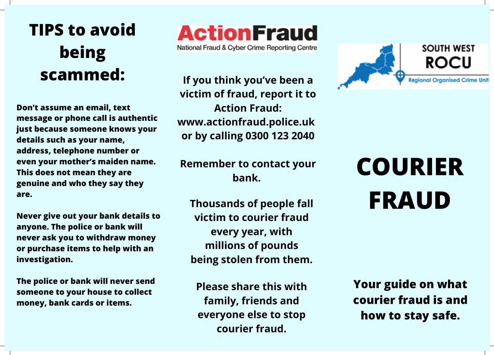## **TIPS to avoid being scammed:**

**Don't assume an email, text message or phone call is authentic just because someone knows your details such as your name, address, telephone number or even your mother's maiden name. This does not mean they are genuine and who they say they are.**

**Never give out your bank details to anyone. The police or bank will never ask you to withdraw money or purchase items to help with an investigation.**

**The police or bank will never send someone to your house to collect money, bank cards or items.**

## **ActionFraud**

National Fraud & Cyber Crime Reporting Centre

**If you think you've been a victim of fraud, report it to Action Fraud: www.actionfraud.police.uk or by calling 0300 123 2040**

**Remember to contact your bank.**

**Thousands of people fall victim to courier fraud every year, with millions of pounds being stolen from them.**

**Please share this with family, friends and everyone else to stop courier fraud.**



## **COURIER FRAUD**

**Your guide on what courier fraud is and how to stay safe.**